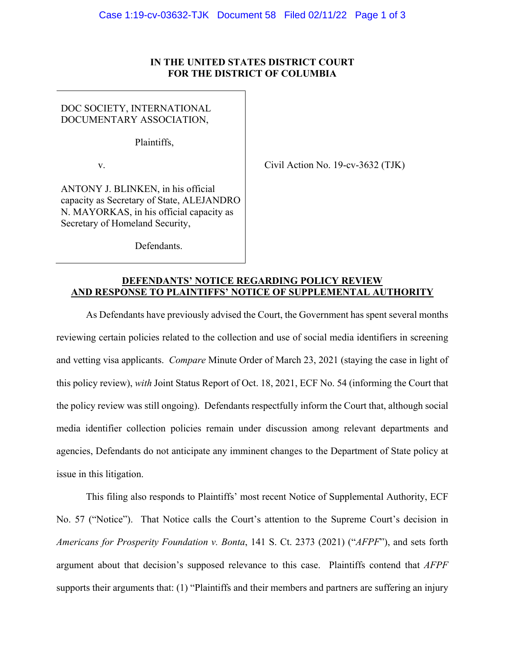## **IN THE UNITED STATES DISTRICT COURT FOR THE DISTRICT OF COLUMBIA**

DOC SOCIETY, INTERNATIONAL DOCUMENTARY ASSOCIATION,

Plaintiffs,

v.  $\qquad \qquad$  Civil Action No. 19-cv-3632 (TJK)

ANTONY J. BLINKEN, in his official capacity as Secretary of State, ALEJANDRO N. MAYORKAS, in his official capacity as Secretary of Homeland Security,

Defendants.

## **DEFENDANTS' NOTICE REGARDING POLICY REVIEW AND RESPONSE TO PLAINTIFFS' NOTICE OF SUPPLEMENTAL AUTHORITY**

 As Defendants have previously advised the Court, the Government has spent several months reviewing certain policies related to the collection and use of social media identifiers in screening and vetting visa applicants. *Compare* Minute Order of March 23, 2021 (staying the case in light of this policy review), *with* Joint Status Report of Oct. 18, 2021, ECF No. 54 (informing the Court that the policy review was still ongoing). Defendants respectfully inform the Court that, although social media identifier collection policies remain under discussion among relevant departments and agencies, Defendants do not anticipate any imminent changes to the Department of State policy at issue in this litigation.

This filing also responds to Plaintiffs' most recent Notice of Supplemental Authority, ECF No. 57 ("Notice"). That Notice calls the Court's attention to the Supreme Court's decision in *Americans for Prosperity Foundation v. Bonta*, 141 S. Ct. 2373 (2021) ("*AFPF*"), and sets forth argument about that decision's supposed relevance to this case. Plaintiffs contend that *AFPF*  supports their arguments that: (1) "Plaintiffs and their members and partners are suffering an injury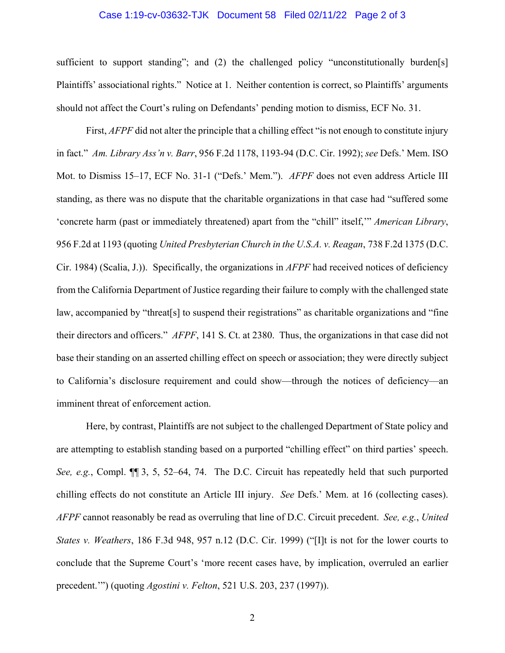## Case 1:19-cv-03632-TJK Document 58 Filed 02/11/22 Page 2 of 3

sufficient to support standing"; and (2) the challenged policy "unconstitutionally burden[s] Plaintiffs' associational rights." Notice at 1. Neither contention is correct, so Plaintiffs' arguments should not affect the Court's ruling on Defendants' pending motion to dismiss, ECF No. 31.

First, *AFPF* did not alter the principle that a chilling effect "is not enough to constitute injury in fact." *Am. Library Ass'n v. Barr*, 956 F.2d 1178, 1193-94 (D.C. Cir. 1992); *see* Defs.' Mem. ISO Mot. to Dismiss 15–17, ECF No. 31-1 ("Defs.' Mem."). *AFPF* does not even address Article III standing, as there was no dispute that the charitable organizations in that case had "suffered some 'concrete harm (past or immediately threatened) apart from the "chill" itself,'" *American Library*, 956 F.2d at 1193 (quoting *United Presbyterian Church in the U.S.A. v. Reagan*, 738 F.2d 1375 (D.C. Cir. 1984) (Scalia, J.)). Specifically, the organizations in *AFPF* had received notices of deficiency from the California Department of Justice regarding their failure to comply with the challenged state law, accompanied by "threat[s] to suspend their registrations" as charitable organizations and "fine their directors and officers." *AFPF*, 141 S. Ct. at 2380. Thus, the organizations in that case did not base their standing on an asserted chilling effect on speech or association; they were directly subject to California's disclosure requirement and could show—through the notices of deficiency—an imminent threat of enforcement action.

Here, by contrast, Plaintiffs are not subject to the challenged Department of State policy and are attempting to establish standing based on a purported "chilling effect" on third parties' speech. *See, e.g.*, Compl. ¶¶ 3, 5, 52–64, 74. The D.C. Circuit has repeatedly held that such purported chilling effects do not constitute an Article III injury. *See* Defs.' Mem. at 16 (collecting cases). *AFPF* cannot reasonably be read as overruling that line of D.C. Circuit precedent. *See, e.g.*, *United States v. Weathers*, 186 F.3d 948, 957 n.12 (D.C. Cir. 1999) ("[I]t is not for the lower courts to conclude that the Supreme Court's 'more recent cases have, by implication, overruled an earlier precedent.'") (quoting *Agostini v. Felton*, 521 U.S. 203, 237 (1997)).